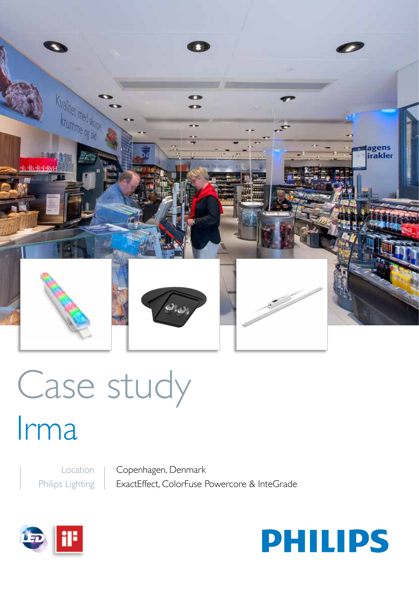

# Case study

## Irma

Location Philips Lighting

Copenhagen, Denmark ExactEffect, ColorFuse Powercore & InteGrade



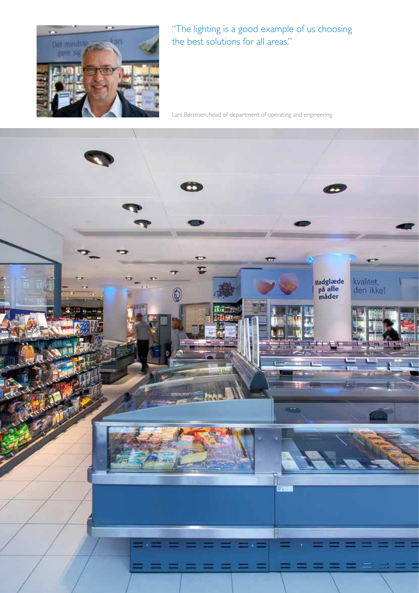

"The lighting is a good example of us choosing the best solutions for all areas."

Lars Børresen, head of department of operating and engineering

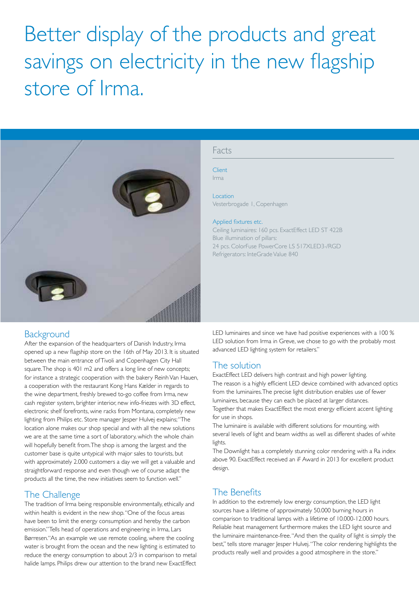### Better display of the products and great savings on electricity in the new flagship store of Irma.



#### Facts

**Client** Irma

Location Vesterbrogade 1, Copenhagen

#### Applied fixtures etc.

Ceiling luminaires: 160 pcs. ExactEffect LED ST 422B Blue illumination of pillars: 24 pcs. ColorFuse PowerCore LS 517XLED3-/RGD Refrigerators: InteGrade Value 840

#### **Background**

After the expansion of the headquarters of Danish Industry, Irma opened up a new flagship store on the 16th of May 2013. It is situated between the main entrance of Tivoli and Copenhagen City Hall square. The shop is 401 m2 and offers a long line of new concepts; for instance a strategic cooperation with the bakery Reinh Van Hauen, a cooperation with the restaurant Kong Hans Kælder in regards to the wine department, freshly brewed to-go coffee from Irma, new cash register system, brighter interior, new info-friezes with 3D effect, electronic shelf forefronts, wine racks from Montana, completely new lighting from Philips etc. Store manager Jesper Hulvej explains; "The location alone makes our shop special and with all the new solutions we are at the same time a sort of laboratory, which the whole chain will hopefully benefit from. The shop is among the largest and the customer base is quite untypical with major sales to tourists, but with approximately 2.000 customers a day we will get a valuable and straightforward response and even though we of course adapt the products all the time, the new initiatives seem to function well."

#### The Challenge

The tradition of Irma being responsible environmentally, ethically and within health is evident in the new shop. "One of the focus areas have been to limit the energy consumption and hereby the carbon emission." Tells head of operations and engineering in Irma, Lars Børresen."As an example we use remote cooling, where the cooling water is brought from the ocean and the new lighting is estimated to reduce the energy consumption to about 2/3 in comparison to metal halide lamps. Philips drew our attention to the brand new ExactEffect LED luminaires and since we have had positive experiences with a 100 % LED solution from Irma in Greve, we chose to go with the probably most advanced LED lighting system for retailers."

#### The solution

ExactEffect LED delivers high contrast and high power lighting. The reason is a highly efficient LED device combined with advanced optics from the luminaires. The precise light distribution enables use of fewer luminaires, because they can each be placed at larger distances. Together that makes ExactEffect the most energy efficient accent lighting for use in shops.

The luminaire is available with different solutions for mounting, with several levels of light and beam widths as well as different shades of white lights.

The Downlight has a completely stunning color rendering with a Ra index above 90. ExactEffect received an iF Award in 2013 for excellent product design.

#### The Benefits

In addition to the extremely low energy consumption, the LED light sources have a lifetime of approximately 50.000 burning hours in comparison to traditional lamps with a lifetime of 10.000-12.000 hours. Reliable heat management furthermore makes the LED light source and the luminaire maintenance-free. "And then the quality of light is simply the best," tells store manager Jesper Hulvej. "The color rendering highlights the products really well and provides a good atmosphere in the store."